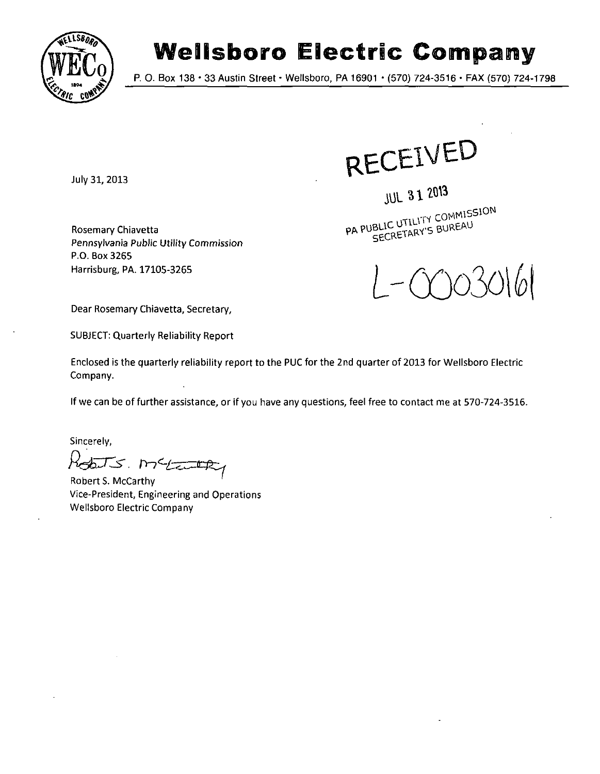

## **Wellsboro Electric Company**

P. O. Box 138 • 33 Austin Street • Wellsboro, PA 16901 \* (570) 724-3516 • FAX (570) 724-1798

July 31, 2013

RECEIVED

**JUL 31 2013** 

PA PUBLIC UTILITY COMMISSION

Rosemary Chiavetta Pennsylvania Public Utility Commission P.O. B0X3265 Harrisburg, PA. 17105-3265



Dear Rosemary Chiavetta, Secretary,

SUBJECT: Quarterly Reliability Report

Enclosed is the quarterly reliability report to the PUC for the 2nd quarter of 2013 for Wellsboro Electric Company.

If we can be of further assistance, or if you have any questions, feel free to contact me at 570-724-3516.

Sincerely,

Robots. Metanthy

Robert S. McCarthy Vice-President, Engineering and Operations Wellsboro Electric Company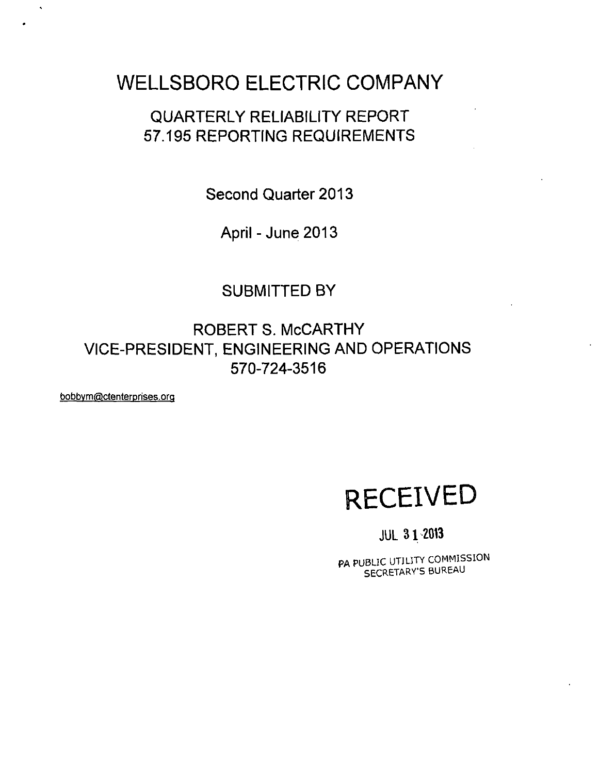## **WELLSBORO ELECTRIC COMPANY**

## **QUARTERLY RELIABILITY REPORT 57.195 REPORTING REQUIREMENTS**

**Second Quarter 2013** 

**April-June 2013** 

### **SUBMITTED BY**

**ROBERT s. MCCARTHY VICE-PRESIDENT, ENGINEERING AND OPERATIONS 570-724-3516** 

bobby m@ctenterprises.org

 $\ddot{\phantom{0}}$ 

# **RECEIVED**

### **JUL 31 2013**

PA PUBLIC UTILITY COMMISSION SECRETARY'S BUREAU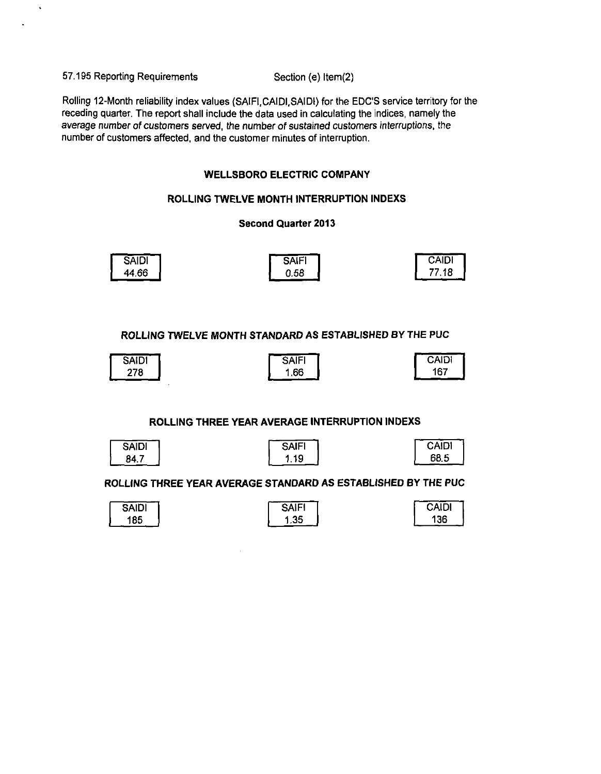57.195 Reporting Requirements Section (e) ltem(2)

Rolling 12-Month reliability index values (SAIR.CAIDI.SAIDI) for the EDC'S service territory for the receding quarter. The report shall include the data used in calculating the indices, namely the average number of customers served, the number of sustained customers interruptions, the number of customers affected, and the customer minutes of interruption.

#### **WELLSBORO ELECTRIC COMPANY**

#### **ROLLING TWELVE MONTH INTERRUPTION INDEXS**

#### **Second Quarter 2013**

| <b>SAIDI</b> | <b>SAIF</b> | <b>CAIDI</b> |
|--------------|-------------|--------------|
| 44.66        | 0.58        | 77.18        |

**ROLLING TWELVE MONTH STANDARD AS ESTABLISHED BY THE PUC** 

| Saidi | <b>SAIFI</b> | <b>CAIDI</b> |
|-------|--------------|--------------|
| 278   | 1.66         | 167          |
|       |              |              |

#### **ROLLING THREE YEAR AVERAGE INTERRUPTION INDEXS**

| <b>IQIAc</b> |  |
|--------------|--|
|              |  |

| SAIFI |  |
|-------|--|
| 1.19  |  |

| CAIDI |  |
|-------|--|
| 68.5  |  |

#### **ROLLING THREE YEAR AVERAGE STANDARD AS ESTABLISHED BY THE PUC**

| <b>SAIDI</b> | SAIFI | <b>CAIDI</b> |
|--------------|-------|--------------|
| 185          | .35   | 136          |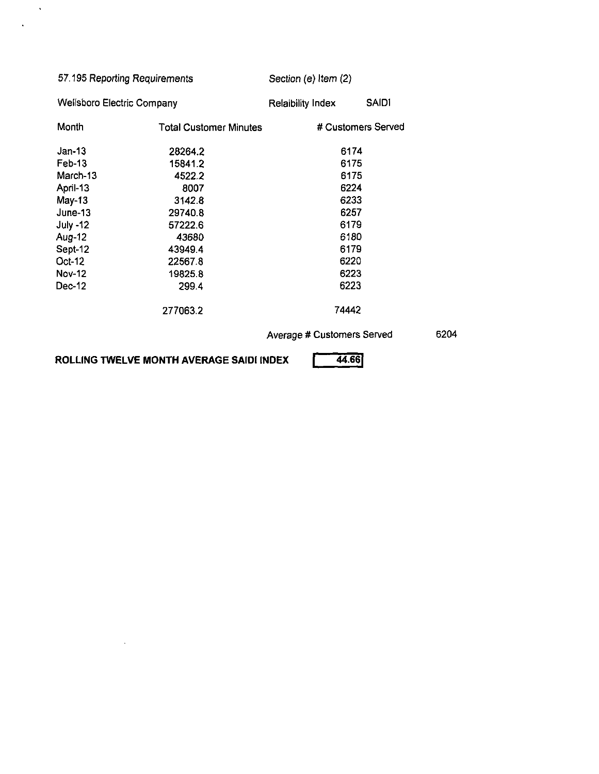| 57.195 Reporting Requirements     |                    | Section (e) Item (2) |                                                                     |
|-----------------------------------|--------------------|----------------------|---------------------------------------------------------------------|
| <b>Wellsboro Electric Company</b> | Relaibility Index  | <b>SAIDI</b>         |                                                                     |
| <b>Total Customer Minutes</b>     | # Customers Served |                      |                                                                     |
| 28264.2                           |                    |                      |                                                                     |
| 15841.2                           |                    |                      |                                                                     |
| 4522.2                            |                    |                      |                                                                     |
| 8007                              |                    |                      |                                                                     |
| 3142.8                            | 6233               |                      |                                                                     |
| 29740.8                           | 6257               |                      |                                                                     |
| 57222.6                           | 6179               |                      |                                                                     |
| 43680                             | 6180               |                      |                                                                     |
| 43949.4                           | 6179               |                      |                                                                     |
| 22567.8                           | 6220               |                      |                                                                     |
| 19825.8                           | 6223               |                      |                                                                     |
| 299.4                             | 6223               |                      |                                                                     |
| 277063.2                          |                    |                      |                                                                     |
|                                   |                    |                      | 6204                                                                |
|                                   |                    |                      | 6174<br>6175<br>6175<br>6224<br>74442<br>Average # Customers Served |

ROLLING TWELVE MONTH AVERAGE SAIDI INDEX  $\boxed{44.66}$ 

 $\bar{z}$ 

 $\sim$ 

 $\ddot{\phantom{a}}$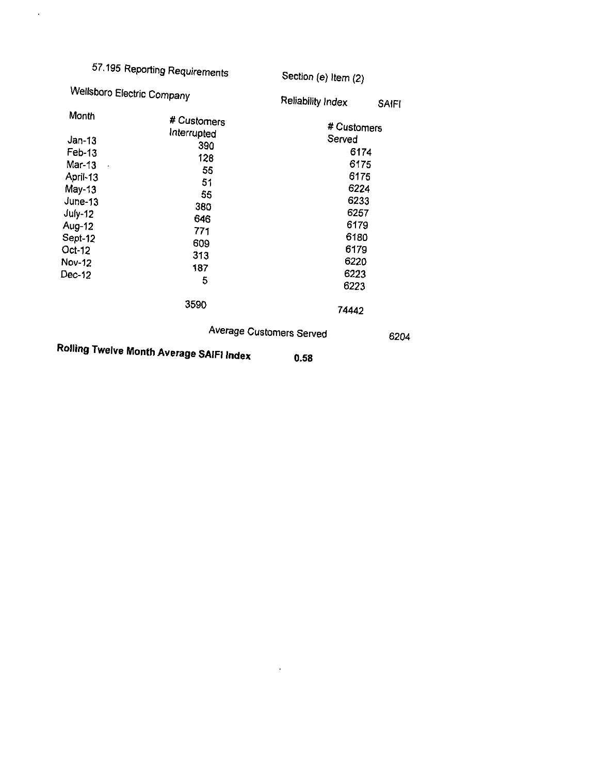|                                                                                                                                                                 | 57.195 Reporting Requirements                                                                                     | Section (e) Item (2)                                                                                                           |              |
|-----------------------------------------------------------------------------------------------------------------------------------------------------------------|-------------------------------------------------------------------------------------------------------------------|--------------------------------------------------------------------------------------------------------------------------------|--------------|
| Wellsboro Electric Company                                                                                                                                      |                                                                                                                   | Reliability Index                                                                                                              | <b>SAIFI</b> |
| Month<br>$Jan-13$<br>Feb-13<br>Mar-13<br>$\epsilon$<br>April-13<br>$May-13$<br>$June-13$<br>July-12<br>Aug-12<br>Sept-12<br>Oct-12<br><b>Nov-12</b><br>$Dec-12$ | # Customers<br>Interrupted<br>390<br>128<br>55<br>51<br>55<br>380<br>646<br>771<br>609<br>313<br>187<br>5<br>3590 | # Customers<br>Served<br>6174<br>6175<br>6175<br>6224<br>6233<br>6257<br>6179<br>6180<br>6179<br>6220<br>6223<br>6223<br>74442 |              |
| <b>DAULA T.</b>                                                                                                                                                 |                                                                                                                   | Average Customers Served                                                                                                       | 6204         |

 $\mathcal{L}^{\text{max}}_{\text{max}}$  .

**Rolling Twelve Month Average SAIFI Index o.58** 

 $\sim$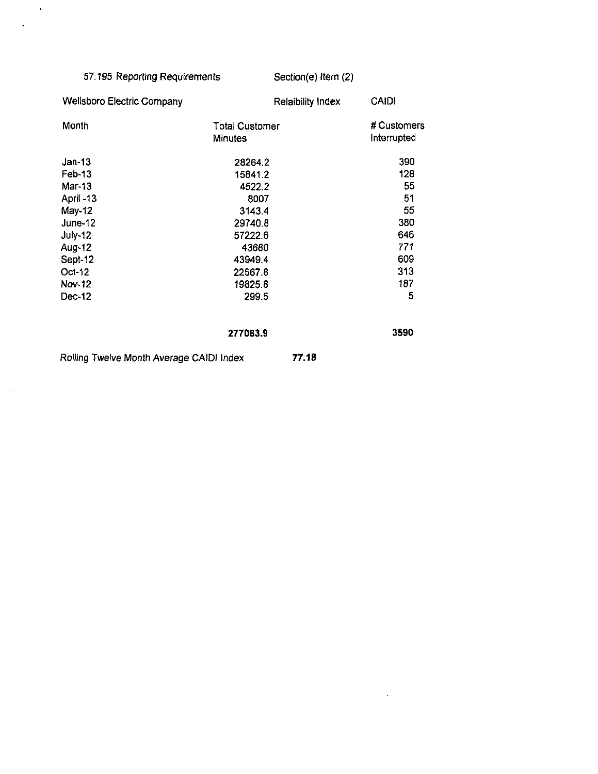| 57.195 Reporting Requirements            |                                         | Section(e) Item (2)      |                            |  |
|------------------------------------------|-----------------------------------------|--------------------------|----------------------------|--|
| <b>Wellsboro Electric Company</b>        |                                         | <b>Relaibility Index</b> | <b>CAIDI</b>               |  |
| Month                                    | <b>Total Customer</b><br><b>Minutes</b> |                          | # Customers<br>Interrupted |  |
| $Jan-13$                                 | 28264.2                                 |                          | 390                        |  |
| Feb-13                                   | 15841.2                                 |                          | 128                        |  |
| Mar-13                                   | 4522.2                                  |                          | 55                         |  |
| April -13                                | 8007                                    |                          | 51                         |  |
| May-12                                   | 3143.4                                  |                          | 55                         |  |
| June-12                                  | 29740.8                                 |                          | 380                        |  |
| <b>July-12</b>                           | 57222.6                                 |                          | 646                        |  |
| Aug-12                                   | 43680                                   |                          | 771                        |  |
| Sept-12                                  | 43949.4                                 |                          | 609                        |  |
| Oct-12                                   | 22567.8                                 |                          | 313                        |  |
| Nov-12                                   | 19825.8                                 |                          | 187                        |  |
| Dec-12                                   | 299.5                                   |                          | 5                          |  |
|                                          | 277063.9                                |                          | 3590                       |  |
| Rolling Twelve Month Average CAIDI Index |                                         | 77.18                    |                            |  |

 $\mathcal{L}^{\mathcal{L}}(\mathbf{A})$  and

 $\mathcal{A}$ 

 $\bar{\mathcal{A}}$ 

 $\sim$   $\sim$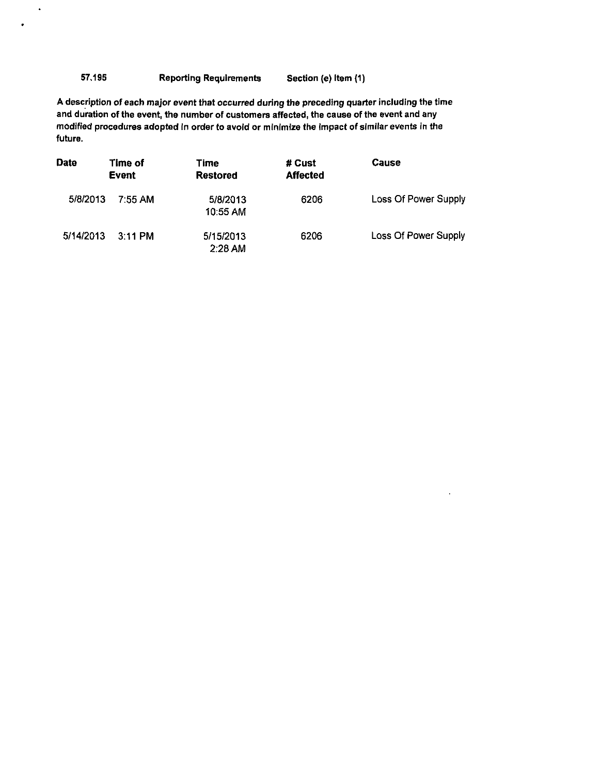#### 57.195 Reporting Requirements Section (e) Item (1)

 $\ddot{\phantom{a}}$ 

A description of each major event that occurred during the preceding quarter including the time and duration of the event, the number of customers affected, the cause of the event and any modified procedures adopted In order to avoid or minimize the Impact of similar events in the future.

| <b>Date</b> | Time of<br>Event | Time<br><b>Restored</b> | # Cust<br><b>Affected</b> | <b>Cause</b>                |
|-------------|------------------|-------------------------|---------------------------|-----------------------------|
| 5/8/2013    | 7.55 AM          | 5/8/2013<br>10:55 AM    | 6206                      | <b>Loss Of Power Supply</b> |
| 5/14/2013   | $3:11$ PM        | 5/15/2013<br>2:28 AM    | 6206                      | Loss Of Power Supply        |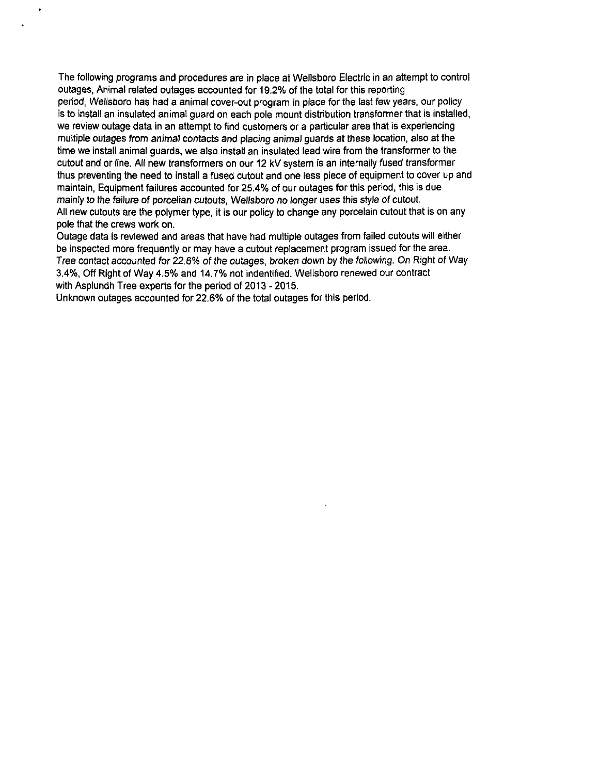The following programs and procedures are in place at Wellsboro Electric in an attempt to control outages, Animal related outages accounted for 19.2% of the total for this reporting period, Wellsboro has had a animal cover-out program in place for the last few years, our policy is to install an insulated animal guard on each pole mount distribution transformer that is installed, we review outage data in an attempt to find customers or a particular area that is experiencing multiple outages from animal contacts and placing animal guards at these location, also at the time we install animal guards, we also install an insulated lead wire from the transformer to the cutout and or line. All new transformers on our 12 kV system is an internally fused transformer thus preventing the need to install a fused cutout and one less piece of equipment to cover up and maintain, Equipment failures accounted for 25.4% of our outages for this period, this is due mainly to the failure of porcelian cutouts, Wellsboro no longer uses this style of cutout. All new cutouts are the polymer type, it is our policy to change any porcelain cutout that is on any pole that the crews work on.

Outage data is reviewed and areas that have had multiple outages from failed cutouts will either be inspected more frequently or may have a cutout replacement program issued for the area. Tree contact accounted for 22.6% of the outages, broken down by the following. On Right of Way 3.4%, Off Right of Way 4.5% and 14.7% not indentified. Wellsboro renewed our contract with Asplundh Tree experts for the period of 2013 - 2015.

Unknown outages accounted for 22.6% of the total outages for this period.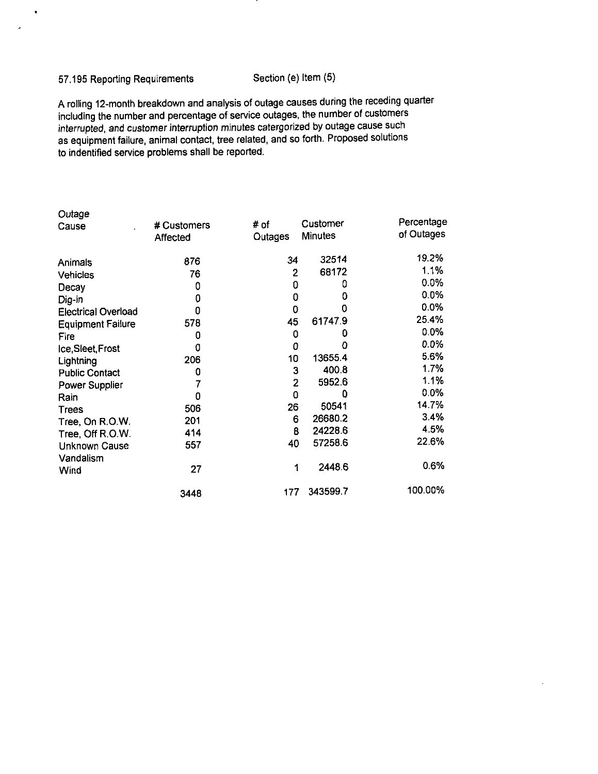#### 57.195 Reporting Requirements Section (e) Item (5)

 $\bullet$ 

J.

A rolling 12-month breakdown and analysis of outage causes during the receding quarter including the number and percentage of service outages, the number of customers interrupted, and customer interruption minutes catergorized by outage cause such as equipment failure, animal contact, tree related, and so forth. Proposed solutions to indentified service problems shall be reported.

| Outage                     |             |         |                |            |
|----------------------------|-------------|---------|----------------|------------|
| Cause                      | # Customers | # of    | Customer       | Percentage |
|                            | Affected    | Outages | <b>Minutes</b> | of Outages |
| Animals                    | 876         | 34      | 32514          | 19.2%      |
| Vehicles                   | 76          | 2       | 68172          | 1.1%       |
| Decay                      | 0           | 0       | 0              | 0.0%       |
| Dig-in                     | 0           | 0       | 0              | 0.0%       |
| <b>Electrical Overload</b> | 0           | 0       | 0              | 0.0%       |
| <b>Equipment Failure</b>   | 578         | 45      | 61747.9        | 25.4%      |
| Fire                       | 0           | 0       | 0              | 0.0%       |
| Ice, Sleet, Frost          | 0           | 0       | ٥              | 0.0%       |
| Lightning                  | 206         | 10      | 13655.4        | 5.6%       |
| <b>Public Contact</b>      | 0           | 3       | 400.8          | 1.7%       |
| Power Supplier             |             | 2       | 5952.6         | 11%        |
| Rain                       | 0           | 0       | 0              | 0.0%       |
| <b>Trees</b>               | 506         | 26      | 50541          | 14.7%      |
| Tree, On R.O.W.            | 201         | 6       | 26680.2        | 3.4%       |
| Tree, Off R.O.W.           | 414         | 8       | 24228.6        | 4.5%       |
| Unknown Cause              | 557         | 40      | 57258.6        | 22.6%      |
| Vandalism                  |             |         |                |            |
| Wind                       | 27          | 1       | 2448.6         | 0.6%       |
|                            | 3448        | 177     | 343599.7       | 100.00%    |